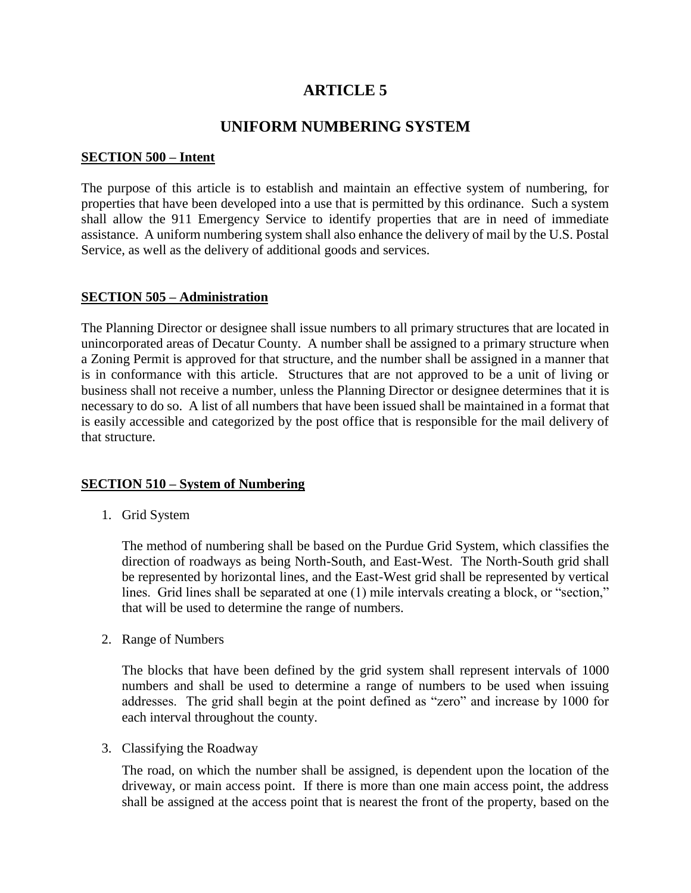# **ARTICLE 5**

# **UNIFORM NUMBERING SYSTEM**

#### **SECTION 500 – Intent**

The purpose of this article is to establish and maintain an effective system of numbering, for properties that have been developed into a use that is permitted by this ordinance. Such a system shall allow the 911 Emergency Service to identify properties that are in need of immediate assistance. A uniform numbering system shall also enhance the delivery of mail by the U.S. Postal Service, as well as the delivery of additional goods and services.

#### **SECTION 505 – Administration**

The Planning Director or designee shall issue numbers to all primary structures that are located in unincorporated areas of Decatur County. A number shall be assigned to a primary structure when a Zoning Permit is approved for that structure, and the number shall be assigned in a manner that is in conformance with this article. Structures that are not approved to be a unit of living or business shall not receive a number, unless the Planning Director or designee determines that it is necessary to do so. A list of all numbers that have been issued shall be maintained in a format that is easily accessible and categorized by the post office that is responsible for the mail delivery of that structure.

### **SECTION 510 – System of Numbering**

1. Grid System

The method of numbering shall be based on the Purdue Grid System, which classifies the direction of roadways as being North-South, and East-West. The North-South grid shall be represented by horizontal lines, and the East-West grid shall be represented by vertical lines. Grid lines shall be separated at one (1) mile intervals creating a block, or "section," that will be used to determine the range of numbers.

2. Range of Numbers

The blocks that have been defined by the grid system shall represent intervals of 1000 numbers and shall be used to determine a range of numbers to be used when issuing addresses. The grid shall begin at the point defined as "zero" and increase by 1000 for each interval throughout the county.

3. Classifying the Roadway

The road, on which the number shall be assigned, is dependent upon the location of the driveway, or main access point. If there is more than one main access point, the address shall be assigned at the access point that is nearest the front of the property, based on the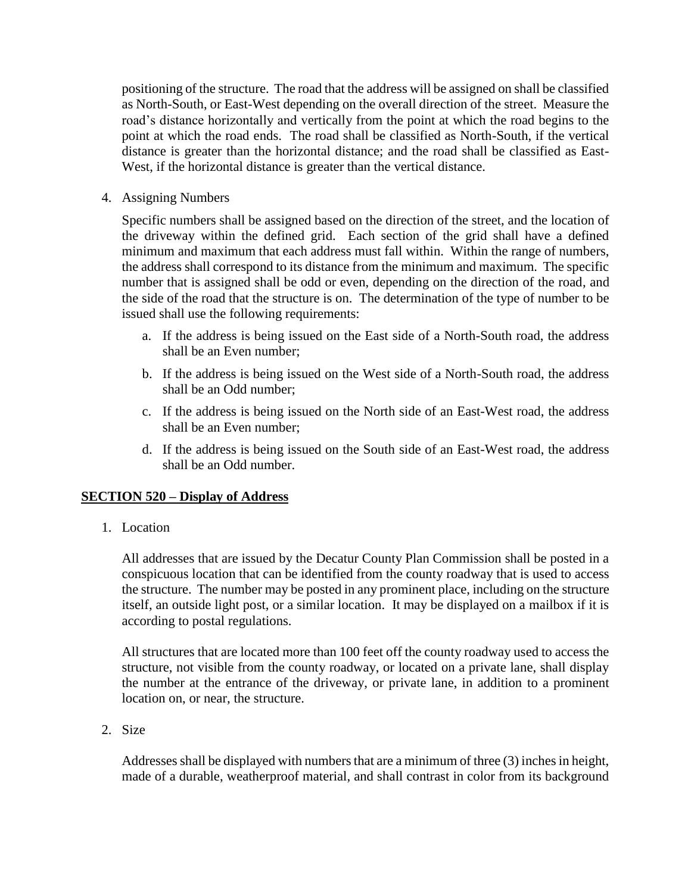positioning of the structure. The road that the address will be assigned on shall be classified as North-South, or East-West depending on the overall direction of the street. Measure the road's distance horizontally and vertically from the point at which the road begins to the point at which the road ends. The road shall be classified as North-South, if the vertical distance is greater than the horizontal distance; and the road shall be classified as East-West, if the horizontal distance is greater than the vertical distance.

4. Assigning Numbers

Specific numbers shall be assigned based on the direction of the street, and the location of the driveway within the defined grid. Each section of the grid shall have a defined minimum and maximum that each address must fall within. Within the range of numbers, the address shall correspond to its distance from the minimum and maximum. The specific number that is assigned shall be odd or even, depending on the direction of the road, and the side of the road that the structure is on. The determination of the type of number to be issued shall use the following requirements:

- a. If the address is being issued on the East side of a North-South road, the address shall be an Even number;
- b. If the address is being issued on the West side of a North-South road, the address shall be an Odd number;
- c. If the address is being issued on the North side of an East-West road, the address shall be an Even number;
- d. If the address is being issued on the South side of an East-West road, the address shall be an Odd number.

# **SECTION 520 – Display of Address**

1. Location

All addresses that are issued by the Decatur County Plan Commission shall be posted in a conspicuous location that can be identified from the county roadway that is used to access the structure. The number may be posted in any prominent place, including on the structure itself, an outside light post, or a similar location. It may be displayed on a mailbox if it is according to postal regulations.

All structures that are located more than 100 feet off the county roadway used to access the structure, not visible from the county roadway, or located on a private lane, shall display the number at the entrance of the driveway, or private lane, in addition to a prominent location on, or near, the structure.

2. Size

Addresses shall be displayed with numbers that are a minimum of three (3) inches in height, made of a durable, weatherproof material, and shall contrast in color from its background